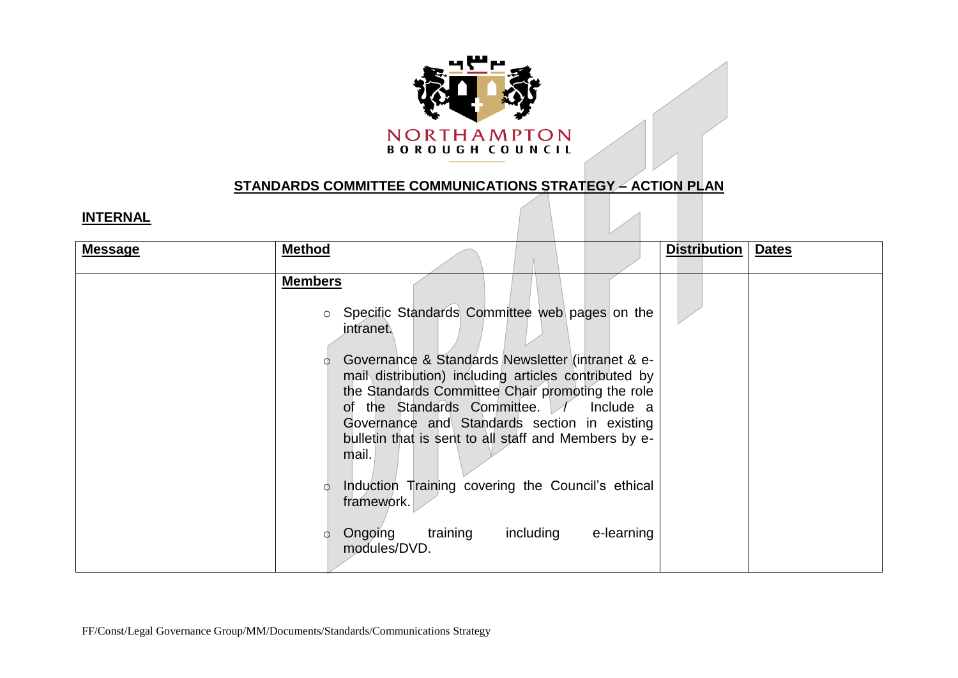

## **STANDARDS COMMITTEE COMMUNICATIONS STRATEGY – ACTION PLAN**

## **INTERNAL**

| <b>Message</b> | <b>Method</b>                                                                                                                                                                                                                                                                                                                                                                                                                                                                                                                                                      | <b>Distribution</b> | <b>Dates</b> |
|----------------|--------------------------------------------------------------------------------------------------------------------------------------------------------------------------------------------------------------------------------------------------------------------------------------------------------------------------------------------------------------------------------------------------------------------------------------------------------------------------------------------------------------------------------------------------------------------|---------------------|--------------|
|                | <b>Members</b><br>Specific Standards Committee web pages on the<br>$\circ$<br>intranet.<br>Governance & Standards Newsletter (intranet & e-<br>mail distribution) including articles contributed by<br>the Standards Committee Chair promoting the role<br>of the Standards Committee. / Include a<br>Governance and Standards section in existing<br>bulletin that is sent to all staff and Members by e-<br>mail.<br>Induction Training covering the Council's ethical<br>Ó<br>framework.<br>training<br>including<br>Ongoing<br>e-learning<br>Ω<br>modules/DVD. |                     |              |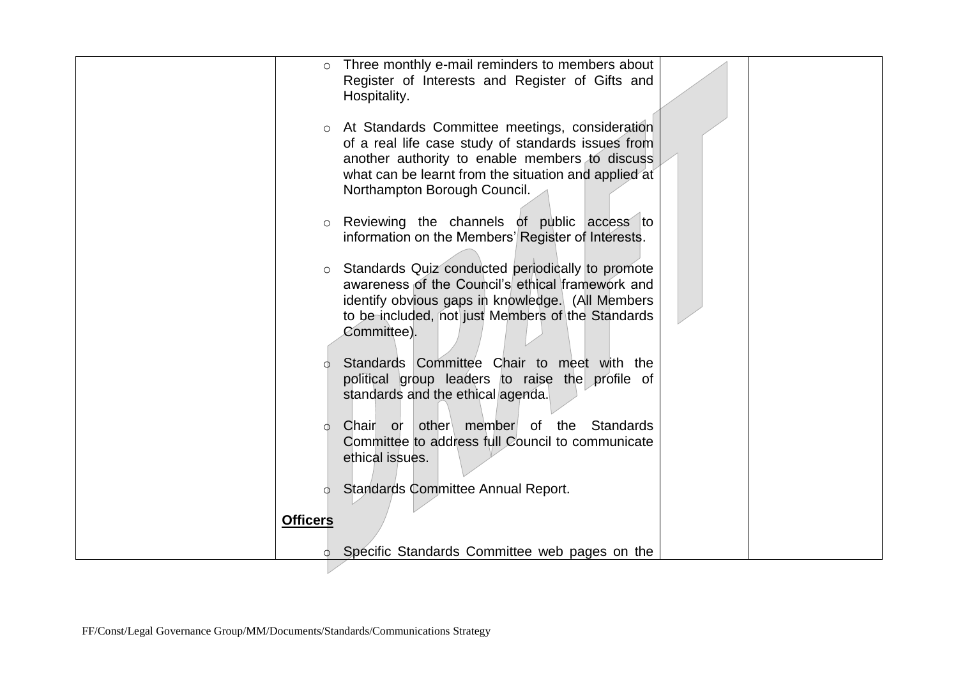| $\circ$                    | Three monthly e-mail reminders to members about<br>Register of Interests and Register of Gifts and<br>Hospitality.                                                                                                                               |  |
|----------------------------|--------------------------------------------------------------------------------------------------------------------------------------------------------------------------------------------------------------------------------------------------|--|
|                            | o At Standards Committee meetings, consideration<br>of a real life case study of standards issues from<br>another authority to enable members to discuss<br>what can be learnt from the situation and applied at<br>Northampton Borough Council. |  |
| $\circ$                    | Reviewing the channels of public access to<br>information on the Members' Register of Interests.                                                                                                                                                 |  |
| $\circ$                    | Standards Quiz conducted periodically to promote<br>awareness of the Council's ethical framework and<br>identify obvious gaps in knowledge. (All Members<br>to be included, not just Members of the Standards<br>Committee).                     |  |
|                            | Standards Committee Chair to meet with the<br>political group leaders to raise the profile of<br>standards and the ethical agenda.                                                                                                               |  |
| $\circ$                    | other member of the Standards<br>Chair or<br>Committee to address full Council to communicate<br>ethical issues.                                                                                                                                 |  |
| $\circ$<br><b>Officers</b> | <b>Standards Committee Annual Report.</b>                                                                                                                                                                                                        |  |
| O.                         | Specific Standards Committee web pages on the                                                                                                                                                                                                    |  |
|                            |                                                                                                                                                                                                                                                  |  |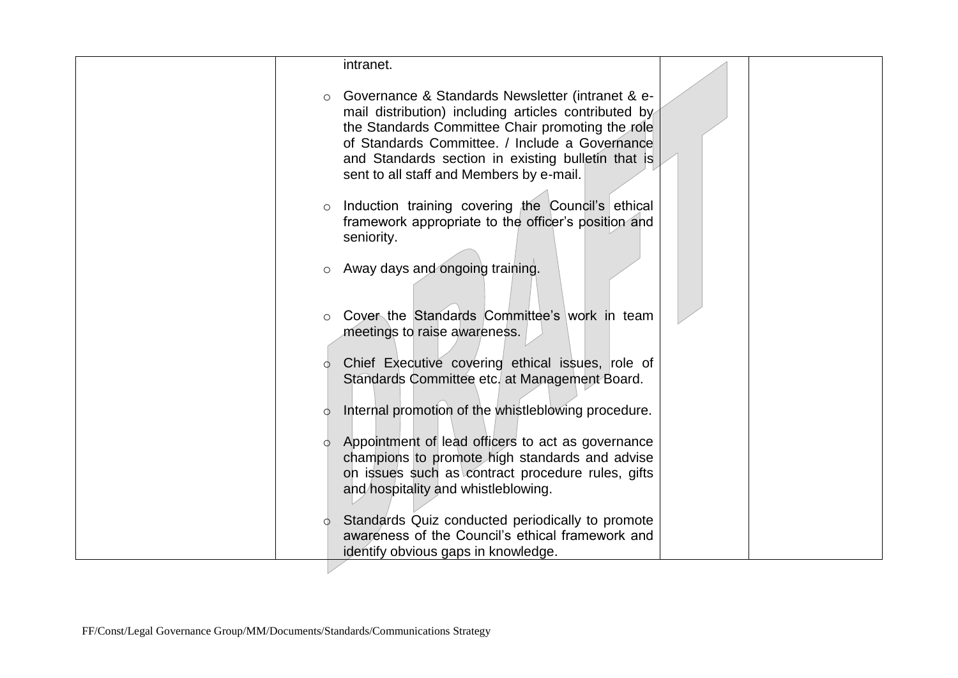| Governance & Standards Newsletter (intranet & e-<br>$\circ$<br>mail distribution) including articles contributed by<br>the Standards Committee Chair promoting the role<br>of Standards Committee. / Include a Governance<br>and Standards section in existing bulletin that is<br>sent to all staff and Members by e-mail.<br>Induction training covering the Council's ethical<br>$\circ$<br>framework appropriate to the officer's position and<br>seniority.<br>Away days and ongoing training.<br>$\circ$<br>Cover the Standards Committee's work in team<br>meetings to raise awareness. | intranet. |  |
|------------------------------------------------------------------------------------------------------------------------------------------------------------------------------------------------------------------------------------------------------------------------------------------------------------------------------------------------------------------------------------------------------------------------------------------------------------------------------------------------------------------------------------------------------------------------------------------------|-----------|--|
|                                                                                                                                                                                                                                                                                                                                                                                                                                                                                                                                                                                                |           |  |
|                                                                                                                                                                                                                                                                                                                                                                                                                                                                                                                                                                                                |           |  |
|                                                                                                                                                                                                                                                                                                                                                                                                                                                                                                                                                                                                |           |  |
|                                                                                                                                                                                                                                                                                                                                                                                                                                                                                                                                                                                                |           |  |
|                                                                                                                                                                                                                                                                                                                                                                                                                                                                                                                                                                                                |           |  |
| Chief Executive covering ethical issues, role of<br>Ó.<br>Standards Committee etc. at Management Board.                                                                                                                                                                                                                                                                                                                                                                                                                                                                                        |           |  |
| Internal promotion of the whistleblowing procedure.<br>Ó                                                                                                                                                                                                                                                                                                                                                                                                                                                                                                                                       |           |  |
| Appointment of lead officers to act as governance<br>$\circ$<br>champions to promote high standards and advise<br>on issues such as contract procedure rules, gifts<br>and hospitality and whistleblowing.                                                                                                                                                                                                                                                                                                                                                                                     |           |  |
| Standards Quiz conducted periodically to promote<br>awareness of the Council's ethical framework and<br>identify obvious gaps in knowledge.                                                                                                                                                                                                                                                                                                                                                                                                                                                    |           |  |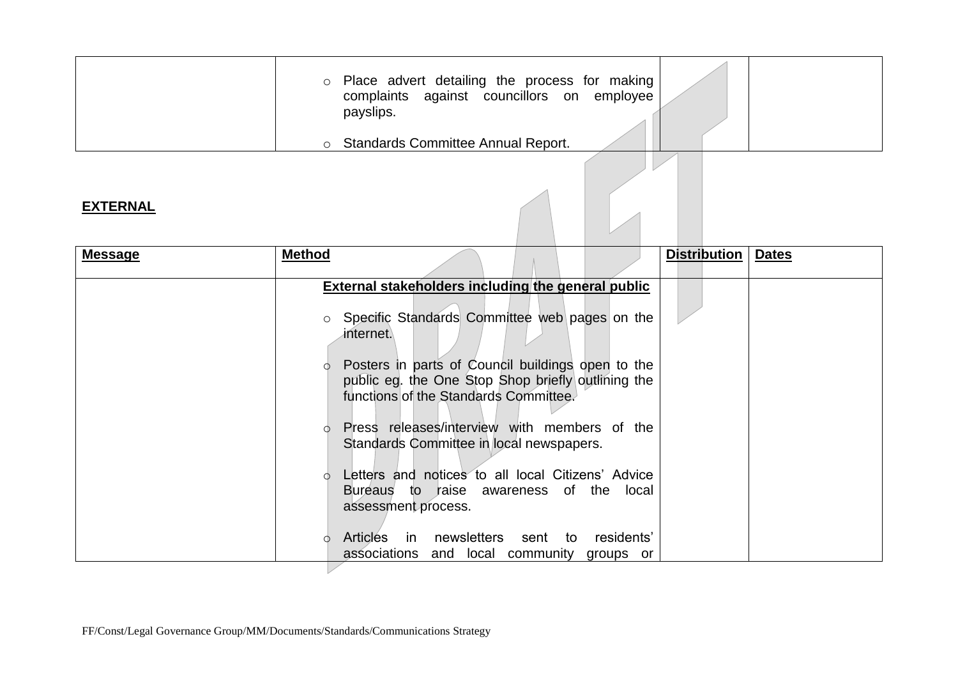| o Place advert detailing the process for making<br>against councillors on employee<br>complaints<br>payslips. |  |
|---------------------------------------------------------------------------------------------------------------|--|
| <b>Standards Committee Annual Report.</b>                                                                     |  |

## **EXTERNAL**

| <b>Message</b> | <b>Method</b> |                                                                                                                                                  | <b>Distribution</b> | <b>Dates</b> |
|----------------|---------------|--------------------------------------------------------------------------------------------------------------------------------------------------|---------------------|--------------|
|                |               | External stakeholders including the general public                                                                                               |                     |              |
|                | $\circ$       | Specific Standards Committee web pages on the<br>internet.                                                                                       |                     |              |
|                |               | Posters in parts of Council buildings open to the<br>public eg. the One Stop Shop briefly outlining the<br>functions of the Standards Committee. |                     |              |
|                |               | Press releases/interview with members of the<br>Standards Committee in local newspapers.                                                         |                     |              |
|                |               | Letters and notices to all local Citizens' Advice<br>Bureaus to raise awareness of the local<br>assessment process.                              |                     |              |
|                |               | Articles in newsletters sent to<br>residents'<br>associations and local community groups or                                                      |                     |              |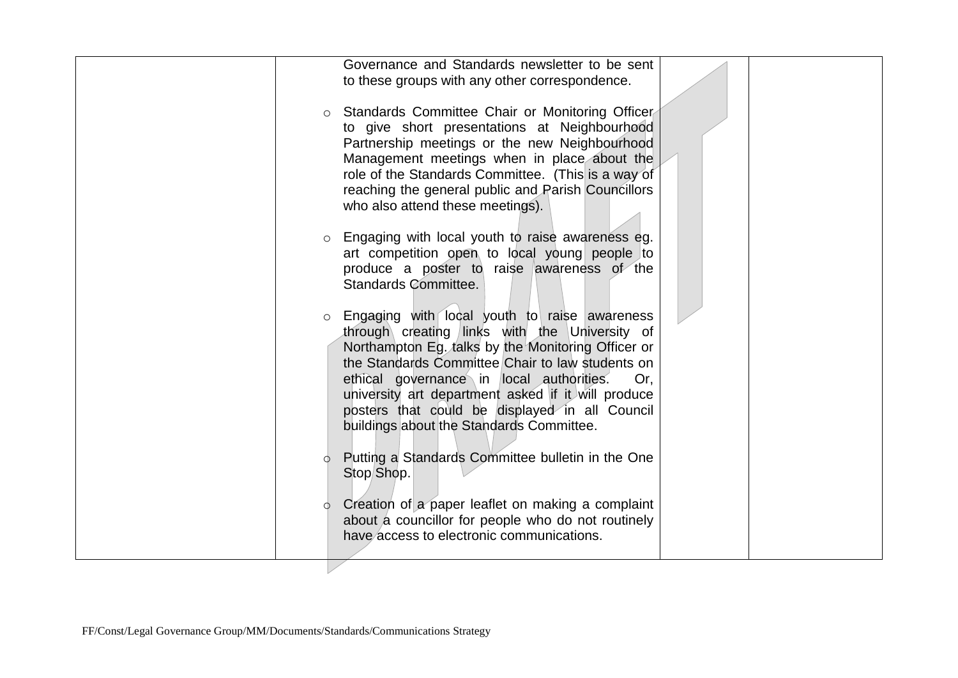|         | Governance and Standards newsletter to be sent<br>to these groups with any other correspondence.                                                                                                                                                                                                                                                                                                               |  |
|---------|----------------------------------------------------------------------------------------------------------------------------------------------------------------------------------------------------------------------------------------------------------------------------------------------------------------------------------------------------------------------------------------------------------------|--|
| $\circ$ | Standards Committee Chair or Monitoring Officer<br>to give short presentations at Neighbourhood<br>Partnership meetings or the new Neighbourhood<br>Management meetings when in place about the                                                                                                                                                                                                                |  |
|         | role of the Standards Committee. (This is a way of<br>reaching the general public and Parish Councillors<br>who also attend these meetings).                                                                                                                                                                                                                                                                   |  |
| $\circ$ | Engaging with local youth to raise awareness eg.<br>art competition open to local young people to<br>produce a poster to raise awareness of the<br>Standards Committee.                                                                                                                                                                                                                                        |  |
| $\circ$ | Engaging with local youth to raise awareness<br>through creating links with the University of<br>Northampton Eg. talks by the Monitoring Officer or<br>the Standards Committee Chair to law students on<br>ethical governance in local authorities.<br>Or.<br>university art department asked if it will produce<br>posters that could be displayed in all Council<br>buildings about the Standards Committee. |  |
| Ó       | Putting a Standards Committee bulletin in the One<br>Stop/Shop.                                                                                                                                                                                                                                                                                                                                                |  |
| $\circ$ | Creation of a paper leaflet on making a complaint<br>about a councillor for people who do not routinely<br>have access to electronic communications.                                                                                                                                                                                                                                                           |  |
|         |                                                                                                                                                                                                                                                                                                                                                                                                                |  |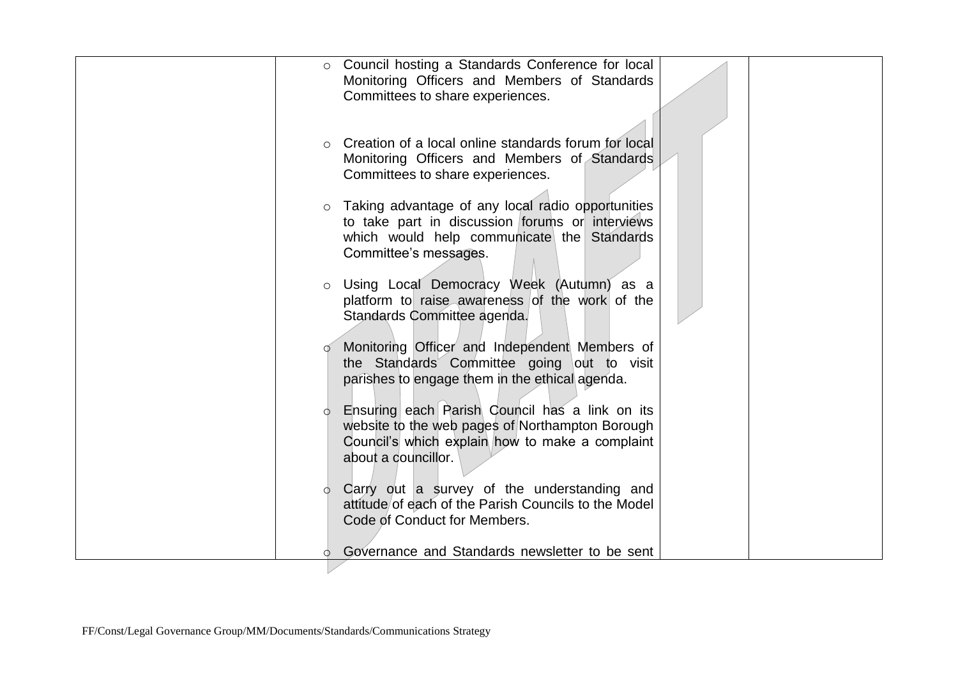| $\circ$  | Council hosting a Standards Conference for local     |  |
|----------|------------------------------------------------------|--|
|          |                                                      |  |
|          | Monitoring Officers and Members of Standards         |  |
|          | Committees to share experiences.                     |  |
|          |                                                      |  |
|          |                                                      |  |
| $\Omega$ | Creation of a local online standards forum for local |  |
|          | Monitoring Officers and Members of Standards         |  |
|          | Committees to share experiences.                     |  |
|          |                                                      |  |
|          | Taking advantage of any local radio opportunities    |  |
| $\circ$  |                                                      |  |
|          | to take part in discussion forums or interviews      |  |
|          | which would help communicate the Standards           |  |
|          | Committee's messages.                                |  |
|          |                                                      |  |
| $\circ$  | Using Local Democracy Week (Autumn) as a             |  |
|          | platform to raise awareness of the work of the       |  |
|          | Standards Committee agenda.                          |  |
|          |                                                      |  |
|          | Monitoring Officer and Independent Members of        |  |
|          | the Standards Committee going out to visit           |  |
|          | parishes to engage them in the ethical agenda.       |  |
|          |                                                      |  |
|          | Ensuring each Parish Council has a link on its       |  |
|          |                                                      |  |
|          | website to the web pages of Northampton Borough      |  |
|          | Council's which explain how to make a complaint      |  |
|          | about a councillor.                                  |  |
|          |                                                      |  |
| $\circ$  | Carry out a survey of the understanding and          |  |
|          | attitude of each of the Parish Councils to the Model |  |
|          | Code of Conduct for Members.                         |  |
|          |                                                      |  |
|          | Governance and Standards newsletter to be sent       |  |
|          |                                                      |  |